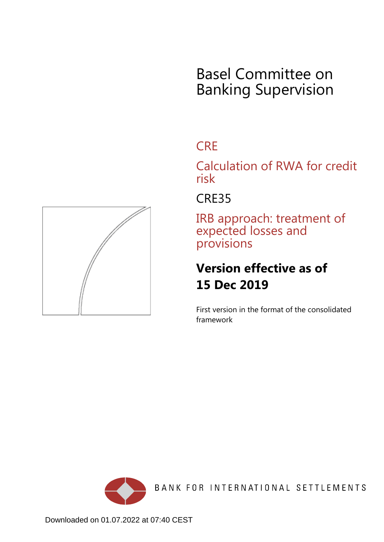# Basel Committee on Banking Supervision

## **CRE**

Calculation of RWA for credit risk

## CRE35

IRB approach: treatment of expected losses and provisions

# **Version effective as of 15 Dec 2019**

First version in the format of the consolidated framework



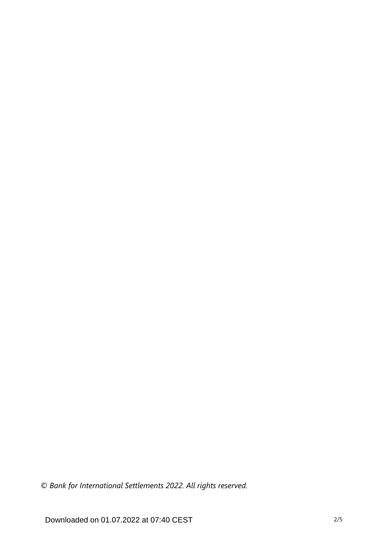*© Bank for International Settlements 2022. All rights reserved.*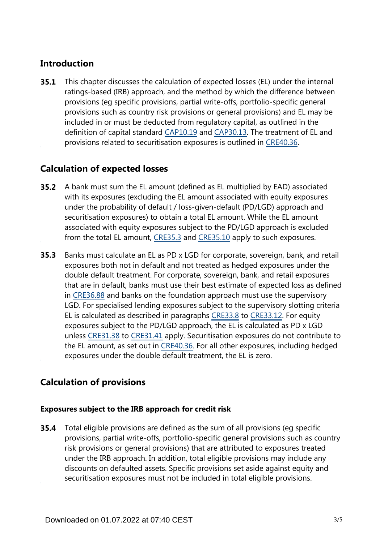### **Introduction**

This chapter discusses the calculation of expected losses (EL) under the internal ratings-based (IRB) approach, and the method by which the difference between provisions (eg specific provisions, partial write-offs, portfolio-specific general provisions such as country risk provisions or general provisions) and EL may be included in or must be deducted from regulatory capital, as outlined in the definition of capital standard [CAP10.19](https://www.bis.org/basel_framework/chapter/CAP/10.htm?tldate=20220112&inforce=20191215&published=20200605#paragraph_CAP_10_20191215_10_19) and [CAP30.13.](https://www.bis.org/basel_framework/chapter/CAP/30.htm?tldate=20220112&inforce=20191215&published=20191215#paragraph_CAP_30_20191215_30_13) The treatment of EL and provisions related to securitisation exposures is outlined in [CRE40.36.](https://www.bis.org/basel_framework/chapter/CRE/40.htm?tldate=20220112&inforce=20191215&published=20191215#paragraph_CRE_40_20191215_40_36) **35.1**

### **Calculation of expected losses**

- A bank must sum the EL amount (defined as EL multiplied by EAD) associated with its exposures (excluding the EL amount associated with equity exposures under the probability of default / loss-given-default (PD/LGD) approach and securitisation exposures) to obtain a total EL amount. While the EL amount associated with equity exposures subject to the PD/LGD approach is excluded from the total EL amount, [CRE35.3](https://www.bis.org/basel_framework/chapter/CRE/35.htm?tldate=20220112&inforce=20191215&published=20191215#paragraph_CRE_35_20191215_35_3) and [CRE35.10](https://www.bis.org/basel_framework/chapter/CRE/35.htm?tldate=20220112&inforce=20191215&published=20191215#paragraph_CRE_35_20191215_35_10) apply to such exposures. **35.2**
- Banks must calculate an EL as PD x LGD for corporate, sovereign, bank, and retail exposures both not in default and not treated as hedged exposures under the double default treatment. For corporate, sovereign, bank, and retail exposures that are in default, banks must use their best estimate of expected loss as defined in [CRE36.88](https://www.bis.org/basel_framework/chapter/CRE/36.htm?tldate=20220112&inforce=20191215&published=20191215#paragraph_CRE_36_20191215_36_88) and banks on the foundation approach must use the supervisory LGD. For specialised lending exposures subject to the supervisory slotting criteria EL is calculated as described in paragraphs [CRE33.8](https://www.bis.org/basel_framework/chapter/CRE/33.htm?tldate=20220112&inforce=20191215&published=20191215#paragraph_CRE_33_20191215_33_8) to [CRE33.12](https://www.bis.org/basel_framework/chapter/CRE/33.htm?tldate=20220112&inforce=20191215&published=20191215#paragraph_CRE_33_20191215_33_12). For equity exposures subject to the PD/LGD approach, the EL is calculated as PD x LGD unless [CRE31.38](https://www.bis.org/basel_framework/chapter/CRE/31.htm?tldate=20220112&inforce=20191215&published=20191215#paragraph_CRE_31_20191215_31_38) to [CRE31.41](https://www.bis.org/basel_framework/chapter/CRE/31.htm?tldate=20220112&inforce=20191215&published=20191215#paragraph_CRE_31_20191215_31_41) apply. Securitisation exposures do not contribute to the EL amount, as set out in [CRE40.36.](https://www.bis.org/basel_framework/chapter/CRE/40.htm?tldate=20220112&inforce=20191215&published=20191215#paragraph_CRE_40_20191215_40_36) For all other exposures, including hedged exposures under the double default treatment, the EL is zero. **35.3**

### **Calculation of provisions**

#### **Exposures subject to the IRB approach for credit risk**

Total eligible provisions are defined as the sum of all provisions (eg specific provisions, partial write-offs, portfolio-specific general provisions such as country risk provisions or general provisions) that are attributed to exposures treated under the IRB approach. In addition, total eligible provisions may include any discounts on defaulted assets. Specific provisions set aside against equity and securitisation exposures must not be included in total eligible provisions. **35.4**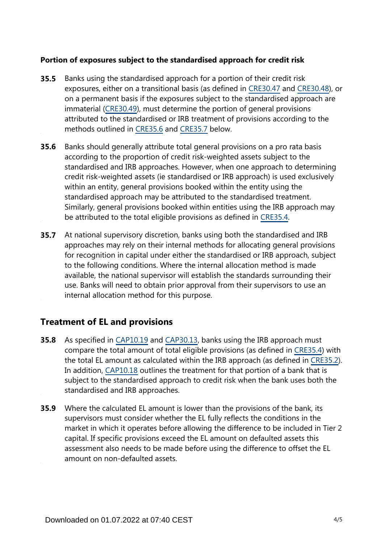#### **Portion of exposures subject to the standardised approach for credit risk**

- Banks using the standardised approach for a portion of their credit risk exposures, either on a transitional basis (as defined in [CRE30.47](https://www.bis.org/basel_framework/chapter/CRE/30.htm?tldate=20220112&inforce=20191215&published=20191215#paragraph_CRE_30_20191215_30_47) and [CRE30.48](https://www.bis.org/basel_framework/chapter/CRE/30.htm?tldate=20220112&inforce=20191215&published=20191215#paragraph_CRE_30_20191215_30_48)), or on a permanent basis if the exposures subject to the standardised approach are immaterial [\(CRE30.49](https://www.bis.org/basel_framework/chapter/CRE/30.htm?tldate=20220112&inforce=20191215&published=20191215#paragraph_CRE_30_20191215_30_49)), must determine the portion of general provisions attributed to the standardised or IRB treatment of provisions according to the methods outlined in [CRE35.6](https://www.bis.org/basel_framework/chapter/CRE/35.htm?tldate=20220112&inforce=20191215&published=20191215#paragraph_CRE_35_20191215_35_6) and [CRE35.7](https://www.bis.org/basel_framework/chapter/CRE/35.htm?tldate=20220112&inforce=20191215&published=20191215#paragraph_CRE_35_20191215_35_7) below. **35.5**
- Banks should generally attribute total general provisions on a pro rata basis according to the proportion of credit risk-weighted assets subject to the standardised and IRB approaches. However, when one approach to determining credit risk-weighted assets (ie standardised or IRB approach) is used exclusively within an entity, general provisions booked within the entity using the standardised approach may be attributed to the standardised treatment. Similarly, general provisions booked within entities using the IRB approach may be attributed to the total eligible provisions as defined in [CRE35.4.](https://www.bis.org/basel_framework/chapter/CRE/35.htm?tldate=20220112&inforce=20191215&published=20191215#paragraph_CRE_35_20191215_35_4) **35.6**
- At national supervisory discretion, banks using both the standardised and IRB approaches may rely on their internal methods for allocating general provisions for recognition in capital under either the standardised or IRB approach, subject to the following conditions. Where the internal allocation method is made available, the national supervisor will establish the standards surrounding their use. Banks will need to obtain prior approval from their supervisors to use an internal allocation method for this purpose. **35.7**

#### **Treatment of EL and provisions**

- As specified in [CAP10.19](https://www.bis.org/basel_framework/chapter/CAP/10.htm?tldate=20220112&inforce=20191215&published=20200605#paragraph_CAP_10_20191215_10_19) and [CAP30.13,](https://www.bis.org/basel_framework/chapter/CAP/30.htm?tldate=20220112&inforce=20191215&published=20191215#paragraph_CAP_30_20191215_30_13) banks using the IRB approach must compare the total amount of total eligible provisions (as defined in [CRE35.4](https://www.bis.org/basel_framework/chapter/CRE/35.htm?tldate=20220112&inforce=20191215&published=20191215#paragraph_CRE_35_20191215_35_4)) with the total EL amount as calculated within the IRB approach (as defined in [CRE35.2\)](https://www.bis.org/basel_framework/chapter/CRE/35.htm?tldate=20220112&inforce=20191215&published=20191215#paragraph_CRE_35_20191215_35_2). In addition, [CAP10.18](https://www.bis.org/basel_framework/chapter/CAP/10.htm?tldate=20220112&inforce=20191215&published=20200605#paragraph_CAP_10_20191215_10_18) outlines the treatment for that portion of a bank that is subject to the standardised approach to credit risk when the bank uses both the standardised and IRB approaches. **35.8**
- Where the calculated EL amount is lower than the provisions of the bank, its **35.9** supervisors must consider whether the EL fully reflects the conditions in the market in which it operates before allowing the difference to be included in Tier 2 capital. If specific provisions exceed the EL amount on defaulted assets this assessment also needs to be made before using the difference to offset the EL amount on non-defaulted assets.